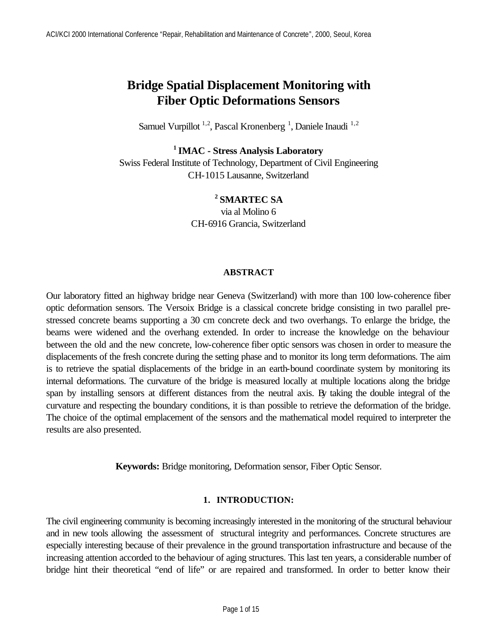# **Bridge Spatial Displacement Monitoring with Fiber Optic Deformations Sensors**

Samuel Vurpillot<sup>1,2</sup>, Pascal Kronenberg<sup>1</sup>, Daniele Inaudi<sup>1,2</sup>

# **<sup>1</sup>IMAC - Stress Analysis Laboratory**

Swiss Federal Institute of Technology, Department of Civil Engineering CH-1015 Lausanne, Switzerland

## **<sup>2</sup>SMARTEC SA**

via al Molino 6 CH-6916 Grancia, Switzerland

#### **ABSTRACT**

Our laboratory fitted an highway bridge near Geneva (Switzerland) with more than 100 low-coherence fiber optic deformation sensors. The Versoix Bridge is a classical concrete bridge consisting in two parallel prestressed concrete beams supporting a 30 cm concrete deck and two overhangs. To enlarge the bridge, the beams were widened and the overhang extended. In order to increase the knowledge on the behaviour between the old and the new concrete, low-coherence fiber optic sensors was chosen in order to measure the displacements of the fresh concrete during the setting phase and to monitor its long term deformations. The aim is to retrieve the spatial displacements of the bridge in an earth-bound coordinate system by monitoring its internal deformations. The curvature of the bridge is measured locally at multiple locations along the bridge span by installing sensors at different distances from the neutral axis. By taking the double integral of the curvature and respecting the boundary conditions, it is than possible to retrieve the deformation of the bridge. The choice of the optimal emplacement of the sensors and the mathematical model required to interpreter the results are also presented.

**Keywords:** Bridge monitoring, Deformation sensor, Fiber Optic Sensor.

#### **1. INTRODUCTION:**

The civil engineering community is becoming increasingly interested in the monitoring of the structural behaviour and in new tools allowing the assessment of structural integrity and performances. Concrete structures are especially interesting because of their prevalence in the ground transportation infrastructure and because of the increasing attention accorded to the behaviour of aging structures. This last ten years, a considerable number of bridge hint their theoretical "end of life" or are repaired and transformed. In order to better know their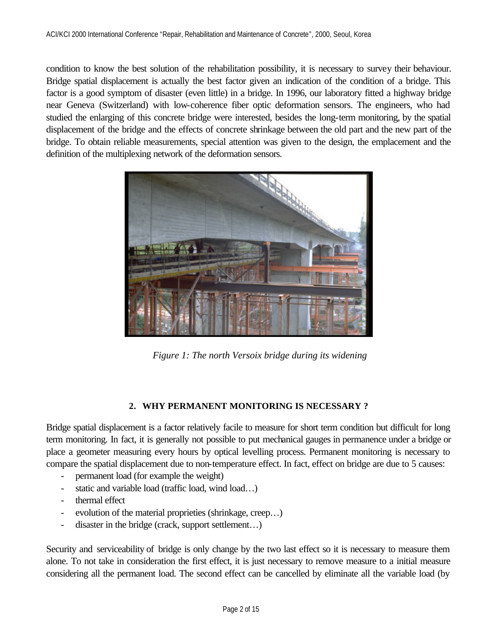condition to know the best solution of the rehabilitation possibility, it is necessary to survey their behaviour. Bridge spatial displacement is actually the best factor given an indication of the condition of a bridge. This factor is a good symptom of disaster (even little) in a bridge. In 1996, our laboratory fitted a highway bridge near Geneva (Switzerland) with low-coherence fiber optic deformation sensors. The engineers, who had studied the enlarging of this concrete bridge were interested, besides the long-term monitoring, by the spatial displacement of the bridge and the effects of concrete shrinkage between the old part and the new part of the bridge. To obtain reliable measurements, special attention was given to the design, the emplacement and the definition of the multiplexing network of the deformation sensors.



*Figure 1: The north Versoix bridge during its widening*

# **2. WHY PERMANENT MONITORING IS NECESSARY ?**

Bridge spatial displacement is a factor relatively facile to measure for short term condition but difficult for long term monitoring. In fact, it is generally not possible to put mechanical gauges in permanence under a bridge or place a geometer measuring every hours by optical levelling process. Permanent monitoring is necessary to compare the spatial displacement due to non-temperature effect. In fact, effect on bridge are due to 5 causes:

- permanent load (for example the weight)
- static and variable load (traffic load, wind load…)
- thermal effect
- evolution of the material proprieties (shrinkage, creep...)
- disaster in the bridge (crack, support settlement…)

Security and serviceability of bridge is only change by the two last effect so it is necessary to measure them alone. To not take in consideration the first effect, it is just necessary to remove measure to a initial measure considering all the permanent load. The second effect can be cancelled by eliminate all the variable load (by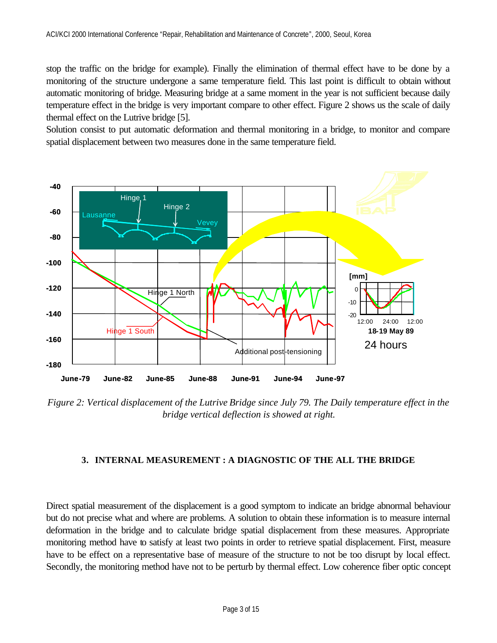stop the traffic on the bridge for example). Finally the elimination of thermal effect have to be done by a monitoring of the structure undergone a same temperature field. This last point is difficult to obtain without automatic monitoring of bridge. Measuring bridge at a same moment in the year is not sufficient because daily temperature effect in the bridge is very important compare to other effect. Figure 2 shows us the scale of daily thermal effect on the Lutrive bridge [5].

Solution consist to put automatic deformation and thermal monitoring in a bridge, to monitor and compare spatial displacement between two measures done in the same temperature field.



*Figure 2: Vertical displacement of the Lutrive Bridge since July 79. The Daily temperature effect in the bridge vertical deflection is showed at right.*

#### **3. INTERNAL MEASUREMENT : A DIAGNOSTIC OF THE ALL THE BRIDGE**

Direct spatial measurement of the displacement is a good symptom to indicate an bridge abnormal behaviour but do not precise what and where are problems. A solution to obtain these information is to measure internal deformation in the bridge and to calculate bridge spatial displacement from these measures. Appropriate monitoring method have to satisfy at least two points in order to retrieve spatial displacement. First, measure have to be effect on a representative base of measure of the structure to not be too disrupt by local effect. Secondly, the monitoring method have not to be perturb by thermal effect. Low coherence fiber optic concept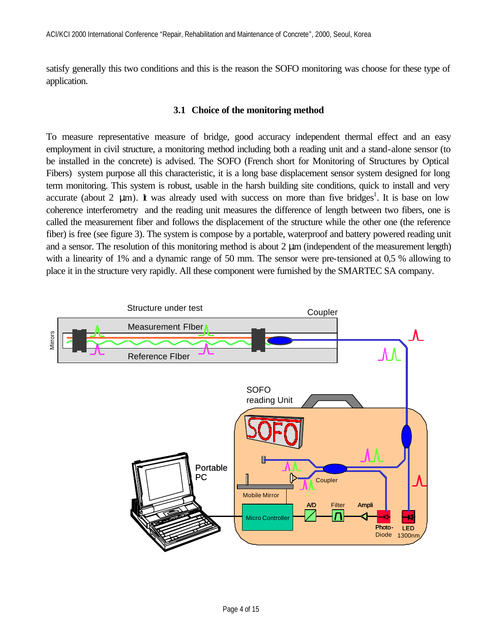satisfy generally this two conditions and this is the reason the SOFO monitoring was choose for these type of application.

## **3.1 Choice of the monitoring method**

To measure representative measure of bridge, good accuracy independent thermal effect and an easy employment in civil structure, a monitoring method including both a reading unit and a stand-alone sensor (to be installed in the concrete) is advised. The SOFO (French short for Monitoring of Structures by Optical Fibers) system purpose all this characteristic, it is a long base displacement sensor system designed for long term monitoring. This system is robust, usable in the harsh building site conditions, quick to install and very accurate (about 2  $\mu$ m). It was already used with success on more than five bridges<sup>1</sup>. It is base on low coherence interferometry and the reading unit measures the difference of length between two fibers, one is called the measurement fiber and follows the displacement of the structure while the other one (the reference fiber) is free (see figure 3). The system is compose by a portable, waterproof and battery powered reading unit and a sensor. The resolution of this monitoring method is about 2 μm (independent of the measurement length) with a linearity of 1% and a dynamic range of 50 mm. The sensor were pre-tensioned at 0,5 % allowing to place it in the structure very rapidly. All these component were furnished by the SMARTEC SA company.

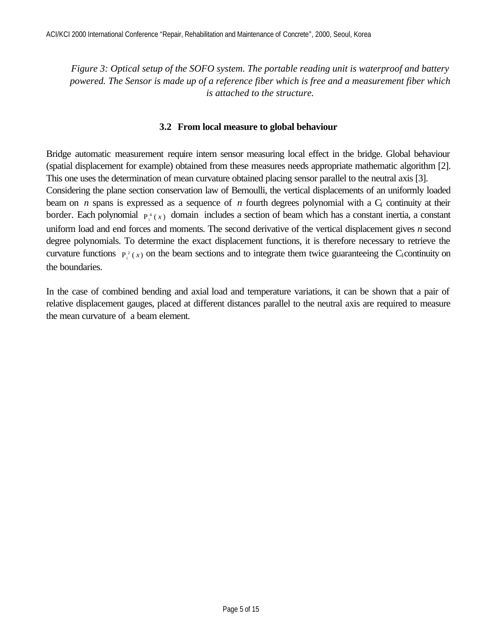*Figure 3: Optical setup of the SOFO system. The portable reading unit is waterproof and battery powered. The Sensor is made up of a reference fiber which is free and a measurement fiber which is attached to the structure.*

#### **3.2 From local measure to global behaviour**

Bridge automatic measurement require intern sensor measuring local effect in the bridge. Global behaviour (spatial displacement for example) obtained from these measures needs appropriate mathematic algorithm [2]. This one uses the determination of mean curvature obtained placing sensor parallel to the neutral axis [3]. Considering the plane section conservation law of Bernoulli, the vertical displacements of an uniformly loaded beam on *n* spans is expressed as a sequence of *n* fourth degrees polynomial with a  $C<sub>1</sub>$  continuity at their border. Each polynomial  $P_i^4(x)$  domain includes a section of beam which has a constant inertia, a constant uniform load and end forces and moments. The second derivative of the vertical displacement gives *n* second degree polynomials. To determine the exact displacement functions, it is therefore necessary to retrieve the curvature functions  $P_i^2(x)$  on the beam sections and to integrate them twice guaranteeing the C<sub>1</sub>continuity on

the boundaries.

In the case of combined bending and axial load and temperature variations, it can be shown that a pair of relative displacement gauges, placed at different distances parallel to the neutral axis are required to measure the mean curvature of a beam element.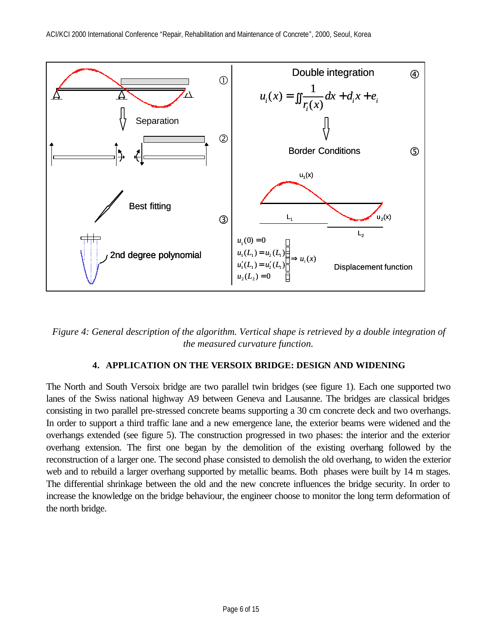

*Figure 4: General description of the algorithm. Vertical shape is retrieved by a double integration of the measured curvature function.*

# **4. APPLICATION ON THE VERSOIX BRIDGE: DESIGN AND WIDENING**

The North and South Versoix bridge are two parallel twin bridges (see figure 1). Each one supported two lanes of the Swiss national highway A9 between Geneva and Lausanne. The bridges are classical bridges consisting in two parallel pre-stressed concrete beams supporting a 30 cm concrete deck and two overhangs. In order to support a third traffic lane and a new emergence lane, the exterior beams were widened and the overhangs extended (see figure 5). The construction progressed in two phases: the interior and the exterior overhang extension. The first one began by the demolition of the existing overhang followed by the reconstruction of a larger one. The second phase consisted to demolish the old overhang, to widen the exterior web and to rebuild a larger overhang supported by metallic beams. Both phases were built by 14 m stages. The differential shrinkage between the old and the new concrete influences the bridge security. In order to increase the knowledge on the bridge behaviour, the engineer choose to monitor the long term deformation of the north bridge.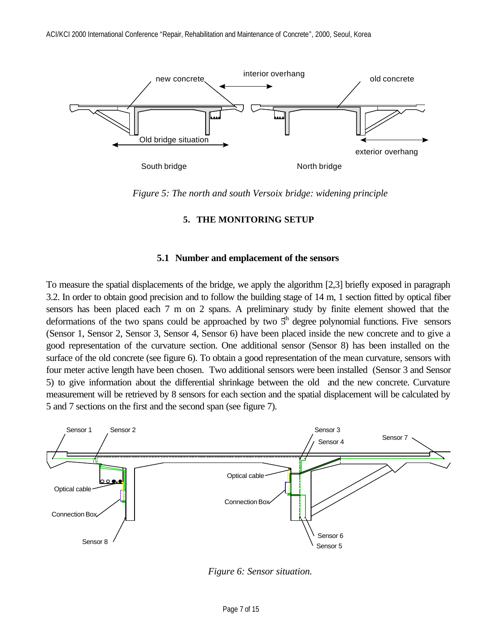

*Figure 5: The north and south Versoix bridge: widening principle* 

#### **5. THE MONITORING SETUP**

#### **5.1 Number and emplacement of the sensors**

To measure the spatial displacements of the bridge, we apply the algorithm [2,3] briefly exposed in paragraph 3.2. In order to obtain good precision and to follow the building stage of 14 m, 1 section fitted by optical fiber sensors has been placed each 7 m on 2 spans. A preliminary study by finite element showed that the deformations of the two spans could be approached by two  $5<sup>th</sup>$  degree polynomial functions. Five sensors (Sensor 1, Sensor 2, Sensor 3, Sensor 4, Sensor 6) have been placed inside the new concrete and to give a good representation of the curvature section. One additional sensor (Sensor 8) has been installed on the surface of the old concrete (see figure 6). To obtain a good representation of the mean curvature, sensors with four meter active length have been chosen. Two additional sensors were been installed (Sensor 3 and Sensor 5) to give information about the differential shrinkage between the old and the new concrete. Curvature measurement will be retrieved by 8 sensors for each section and the spatial displacement will be calculated by 5 and 7 sections on the first and the second span (see figure 7).



*Figure 6: Sensor situation.*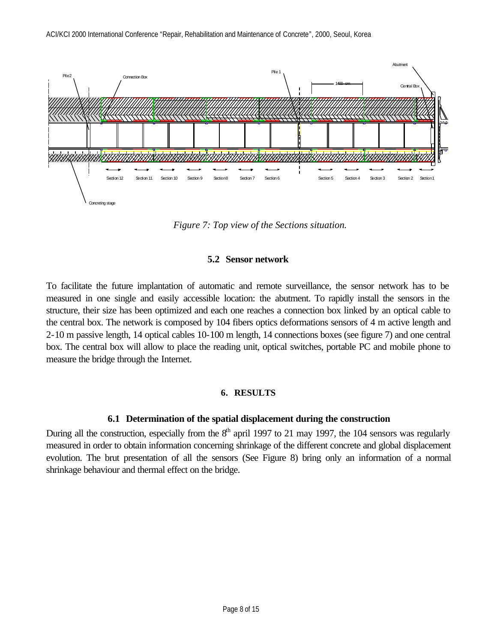

*Figure 7: Top view of the Sections situation.* 

## **5.2 Sensor network**

To facilitate the future implantation of automatic and remote surveillance, the sensor network has to be measured in one single and easily accessible location: the abutment. To rapidly install the sensors in the structure, their size has been optimized and each one reaches a connection box linked by an optical cable to the central box. The network is composed by 104 fibers optics deformations sensors of 4 m active length and 2-10 m passive length, 14 optical cables 10-100 m length, 14 connections boxes (see figure 7) and one central box. The central box will allow to place the reading unit, optical switches, portable PC and mobile phone to measure the bridge through the Internet.

#### **6. RESULTS**

# **6.1 Determination of the spatial displacement during the construction**

During all the construction, especially from the  $8<sup>th</sup>$  april 1997 to 21 may 1997, the 104 sensors was regularly measured in order to obtain information concerning shrinkage of the different concrete and global displacement evolution. The brut presentation of all the sensors (See Figure 8) bring only an information of a normal shrinkage behaviour and thermal effect on the bridge.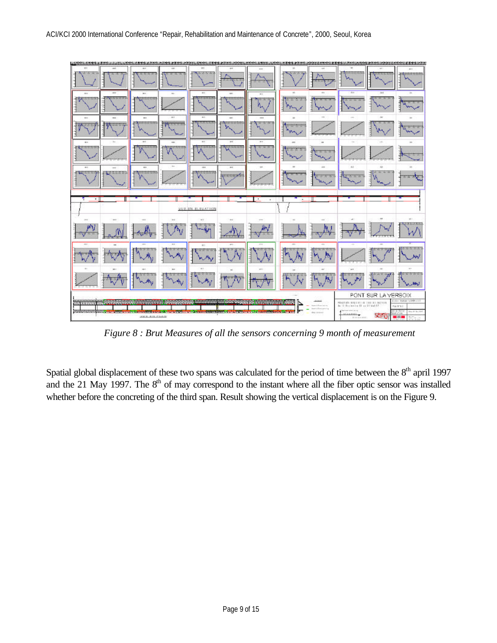

*Figure 8 : Brut Measures of all the sensors concerning 9 month of measurement*

Spatial global displacement of these two spans was calculated for the period of time between the 8<sup>th</sup> april 1997 and the 21 May 1997. The 8<sup>th</sup> of may correspond to the instant where all the fiber optic sensor was installed whether before the concreting of the third span. Result showing the vertical displacement is on the Figure 9.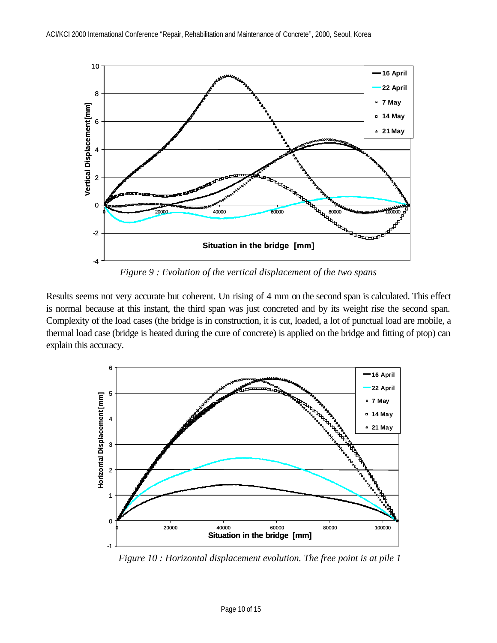

*Figure 9 : Evolution of the vertical displacement of the two spans*

Results seems not very accurate but coherent. Un rising of 4 mm on the second span is calculated. This effect is normal because at this instant, the third span was just concreted and by its weight rise the second span. Complexity of the load cases (the bridge is in construction, it is cut, loaded, a lot of punctual load are mobile, a thermal load case (bridge is heated during the cure of concrete) is applied on the bridge and fitting of ptop) can explain this accuracy.



*Figure 10 : Horizontal displacement evolution. The free point is at pile 1*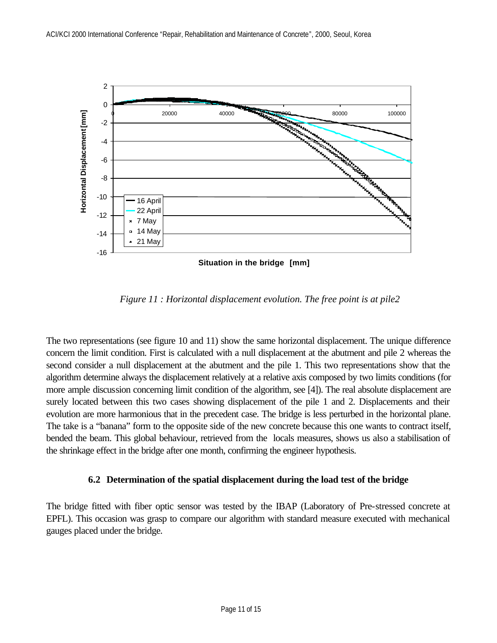

*Figure 11 : Horizontal displacement evolution. The free point is at pile2*

The two representations (see figure 10 and 11) show the same horizontal displacement. The unique difference concern the limit condition. First is calculated with a null displacement at the abutment and pile 2 whereas the second consider a null displacement at the abutment and the pile 1. This two representations show that the algorithm determine always the displacement relatively at a relative axis composed by two limits conditions (for more ample discussion concerning limit condition of the algorithm, see [4]). The real absolute displacement are surely located between this two cases showing displacement of the pile 1 and 2. Displacements and their evolution are more harmonious that in the precedent case. The bridge is less perturbed in the horizontal plane. The take is a "banana" form to the opposite side of the new concrete because this one wants to contract itself, bended the beam. This global behaviour, retrieved from the locals measures, shows us also a stabilisation of the shrinkage effect in the bridge after one month, confirming the engineer hypothesis.

#### **6.2 Determination of the spatial displacement during the load test of the bridge**

The bridge fitted with fiber optic sensor was tested by the IBAP (Laboratory of Pre-stressed concrete at EPFL). This occasion was grasp to compare our algorithm with standard measure executed with mechanical gauges placed under the bridge.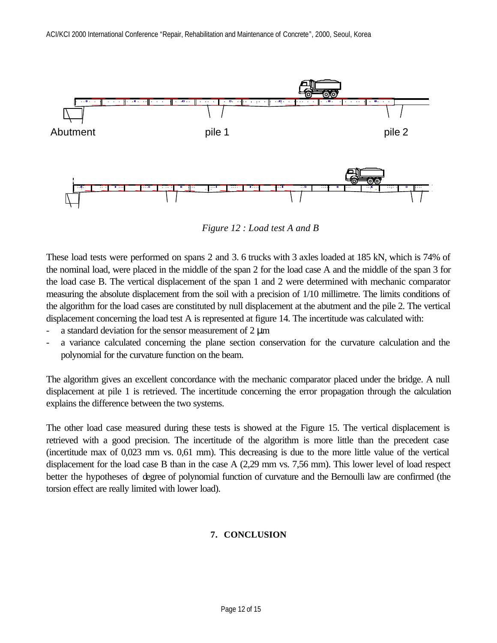

*Figure 12 : Load test A and B*

These load tests were performed on spans 2 and 3. 6 trucks with 3 axles loaded at 185 kN, which is 74% of the nominal load, were placed in the middle of the span 2 for the load case A and the middle of the span 3 for the load case B. The vertical displacement of the span 1 and 2 were determined with mechanic comparator measuring the absolute displacement from the soil with a precision of 1/10 millimetre. The limits conditions of the algorithm for the load cases are constituted by null displacement at the abutment and the pile 2. The vertical displacement concerning the load test A is represented at figure 14. The incertitude was calculated with:

- a standard deviation for the sensor measurement of  $2 \mu m$
- a variance calculated concerning the plane section conservation for the curvature calculation and the polynomial for the curvature function on the beam.

The algorithm gives an excellent concordance with the mechanic comparator placed under the bridge. A null displacement at pile 1 is retrieved. The incertitude concerning the error propagation through the calculation explains the difference between the two systems.

The other load case measured during these tests is showed at the Figure 15. The vertical displacement is retrieved with a good precision. The incertitude of the algorithm is more little than the precedent case (incertitude max of 0,023 mm vs. 0,61 mm). This decreasing is due to the more little value of the vertical displacement for the load case B than in the case A (2,29 mm vs. 7,56 mm). This lower level of load respect better the hypotheses of degree of polynomial function of curvature and the Bernoulli law are confirmed (the torsion effect are really limited with lower load).

# **7. CONCLUSION**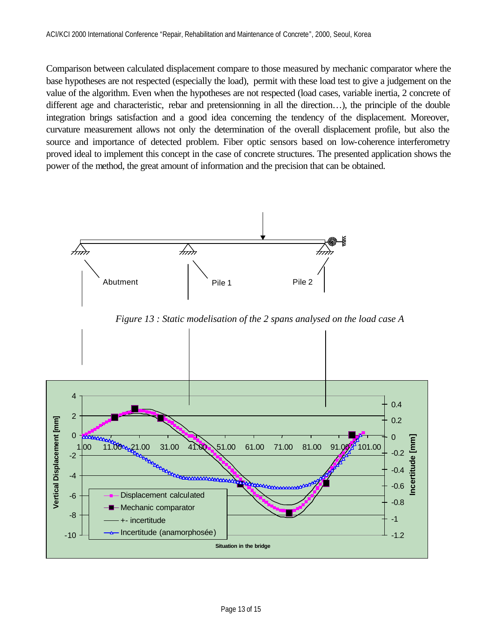Comparison between calculated displacement compare to those measured by mechanic comparator where the base hypotheses are not respected (especially the load), permit with these load test to give a judgement on the value of the algorithm. Even when the hypotheses are not respected (load cases, variable inertia, 2 concrete of different age and characteristic, rebar and pretensionning in all the direction…), the principle of the double integration brings satisfaction and a good idea concerning the tendency of the displacement. Moreover, curvature measurement allows not only the determination of the overall displacement profile, but also the source and importance of detected problem. Fiber optic sensors based on low-coherence interferometry proved ideal to implement this concept in the case of concrete structures. The presented application shows the power of the method, the great amount of information and the precision that can be obtained.



*Figure 13 : Static modelisation of the 2 spans analysed on the load case A* 

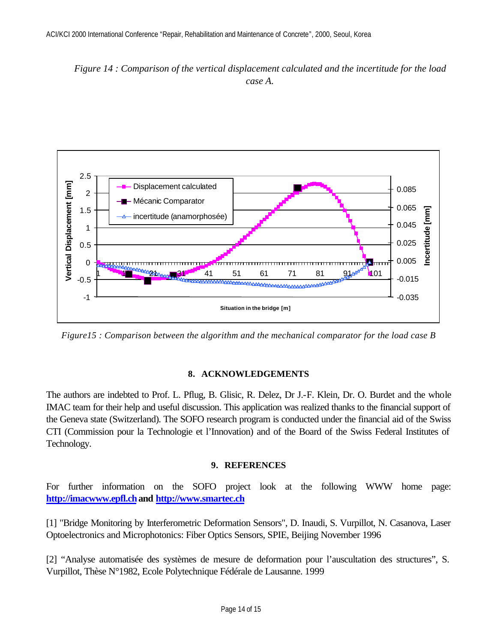*Figure 14 : Comparison of the vertical displacement calculated and the incertitude for the load case A.*



*Figure15 : Comparison between the algorithm and the mechanical comparator for the load case B*

#### **8. ACKNOWLEDGEMENTS**

The authors are indebted to Prof. L. Pflug, B. Glisic, R. Delez, Dr J.-F. Klein, Dr. O. Burdet and the whole IMAC team for their help and useful discussion. This application was realized thanks to the financial support of the Geneva state (Switzerland). The SOFO research program is conducted under the financial aid of the Swiss CTI (Commission pour la Technologie et l'Innovation) and of the Board of the Swiss Federal Institutes of Technology.

#### **9. REFERENCES**

For further information on the SOFO project look at the following WWW home page: **http://imacwww.epfl.ch and http://www.smartec.ch**

[1] "Bridge Monitoring by Interferometric Deformation Sensors", D. Inaudi, S. Vurpillot, N. Casanova, Laser Optoelectronics and Microphotonics: Fiber Optics Sensors, SPIE, Beijing November 1996

[2] "Analyse automatisée des systèmes de mesure de deformation pour l'auscultation des structures", S. Vurpillot, Thèse N°1982, Ecole Polytechnique Fédérale de Lausanne. 1999